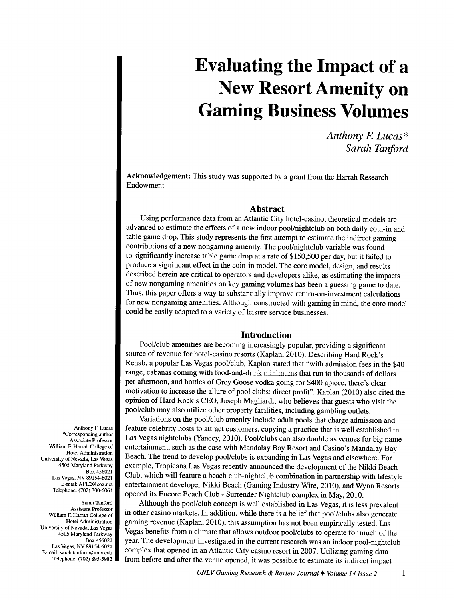# **Evaluating the Impact of <sup>a</sup> New Resort Amenity on Gaming Business Volumes**

*Anthony* F. *Lucas\* Sarah Tanford* 

Acknowledgement: This study was supported by a grant from the Harrah Research Endowment

## **Abstract**

Using performance data from an Atlantic City hotel-casino, theoretical models are advanced to estimate the effects of a new indoor poolfnightclub on both daily coin-in and table game drop. This study represents the first attempt to estimate the indirect gaming contributions of a new nongaming amenity. The pool/nightclub variable was found to significantly increase table game drop at a rate of \$150,500 per day, but it failed to produce a significant effect in the coin-in model. The core model, design, and results described herein are critical to operators and developers alike, as estimating the impacts of new nongaming amenities on key gaming volumes has been a guessing game to date. Thus, this paper offers a way to substantially improve return-on-investment calculations for new nongaming amenities. Although constructed with gaming in mind, the core model could be easily adapted to a variety of leisure service businesses.

## **Introduction**

Pool/club amenities are becoming increasingly popular, providing a significant source of revenue for hotel-casino resorts (Kaplan, 2010). Describing Hard Rock's Rehab, a popular Las Vegas pool/club, Kaplan stated that "with admission fees in the \$40 range, cabanas coming with food-and-drink minimums that run to thousands of dollars per afternoon, and bottles of Grey Goose vodka going for \$400 apiece, there's clear motivation to increase the allure of pool clubs: direct profit". Kaplan (2010) also cited the opinion of Hard Rock's CEO, Joseph Magliardi, who believes that guests who visit the pool/club may also utilize other property facilities, including gambling outlets.

Variations on the pool/club amenity include adult pools that charge admission and feature celebrity hosts to attract customers, copying a practice that is well established in Las Vegas nightclubs (Yancey, 2010). Pool/clubs can also double as venues for big name entertainment, such as the case with Mandalay Bay Resort and Casino's Mandalay Bay Beach. The trend to develop pool/clubs is expanding in Las Vegas and elsewhere. For example, Tropicana Las Vegas recently announced the development of the Nikki Beach Club, which will feature a beach club-nightclub combination in partnership with lifestyle entertainment developer Nikki Beach (Gaming Industry Wire, 2010), and Wynn Resorts opened its Encore Beach Club- Surrender Nightclub complex in May, 2010.

Although the pool/club concept is well established in Las Vegas, it is less prevalent in other casino markets. In addition, while there is a belief that pool/clubs also generate gaming revenue (Kaplan, 2010), this assumption has not been empirically tested. Las Vegas benefits from a climate that allows outdoor pool/clubs to operate for much of the year. The development investigated in the current research was an indoor pool-nightclub complex that opened in an Atlantic City casino resort in 2007. Utilizing gaming data from before and after the venue opened, it was possible to estimate its indirect impact

Anthony F. Lucas \*Corresponding author Associate Professor William F. Harrah College of Hotel Administration University of Nevada, Las Vegas 4505 Maryland Parkway Box 456021 Las Vegas, NV 89154-6021 E-mail: AFL2@cox.net Telephone: (702) 300-6064

Sarah Tanford Assistant Professor William F. Harrah College of Hotel Administration University of Nevada, Las Vegas 4505 Maryland Parkway Box 456021 Las Vegas, NV 89154-6021 E-mail: sarah.tanford@unlv.edu Telephone: (702) 895-5982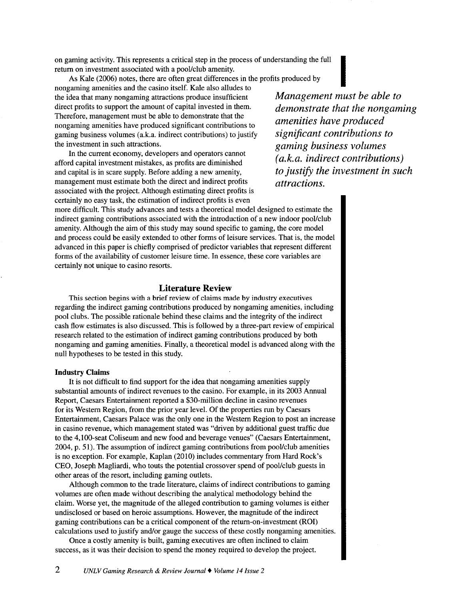on gaming activity. This represents a critical step in the process of understanding the full return on investment associated with a pool/club amenity. aming activity. This represents a critical step in the process of understanding the full<br>
m on investment associated with a pool/club amenity.<br>
As Kale (2006) notes, there are often great differences in the profits produce

nongaming amenities and the casino itself. Kale also alludes to the idea that many nongaming attractions produce insufficient direct profits to support the amount of capital invested in them. Therefore, management must be able to demonstrate that the nongaming amenities have produced significant contributions to gaming business volumes (a.k.a. indirect contributions) to justify the investment in such attractions.

In the current economy, developers and operators cannot afford capital investment mistakes, as profits are diminished and capital is in scare supply. Before adding a new amenity, management must estimate both the direct and indirect profits associated with the project. Although estimating direct profits is certainly no easy task, the estimation of indirect profits is even

more difficult. This study advances and tests a theoretical model designed to estimate the indirect gaming contributions associated with the introduction of a new indoor pool/club amenity. Although the aim of this study may sound specific to gaming, the core model and process could be easily extended to other forms of leisure services. That is, the model advanced in this paper is chiefly comprised of predictor variables that represent different forms of the availability of customer leisure time. In essence, these core variables are certainly not unique to casino resorts.

# **Literature Review**

This section begins with a brief review of claims made by industry executives regarding the indirect gaming contributions produced by nongaming amenities, including pool clubs. The possible rationale behind these claims and the integrity of the indirect cash flow estimates is also discussed. This is followed by a three-part review of empirical research related to the estimation of indirect gaming contributions produced by both nongaming and gaming amenities. Finally, a theoretical model is advanced along with the null hypotheses to be tested in this study.

#### **Industry Claims**

It is not difficult to find support for the idea that nongaming amenities supply substantial amounts of indirect revenues to the casino. For example, in its 2003 Annual Report, Caesars Entertainment reported a \$30-million decline in casino revenues for its Western Region, from the prior year level. Of the properties run by Caesars Entertainment, Caesars Palace was the only one in the Western Region to post an increase in casino revenue, which management stated was "driven by additional guest traffic due to the 4,100-seat Coliseum and new food and beverage venues" (Caesars Entertainment, 2004, p. 51). The assumption of indirect gaming contributions from pool/club amenities is no exception. For example, Kaplan (2010) includes commentary from Hard Rock's CEO, Joseph Magliardi, who touts the potential crossover spend of pool/club guests in other areas of the resort, including gaming outlets.

Although common to the trade literature, claims of indirect contributions to gaming volumes are often made without describing the analytical methodology behind the claim. Worse yet, the magnitude of the alleged contribution to gaming volumes is either undisclosed or based on heroic assumptions. However, the magnitude of the indirect gaming contributions can be a critical component of the return-on-investment (ROI) calculations used to justify and/or gauge the success of these costly nongaming amenities.

Once a costly amenity is built, gaming executives are often inclined to claim success, as it was their decision to spend the money required to develop the project.

*Management must be able to demonstrate that the nongaming amenities have produced significant contributions to gaming business volumes (a. k. a. indirect contributions) to justify the investment in such attractions.*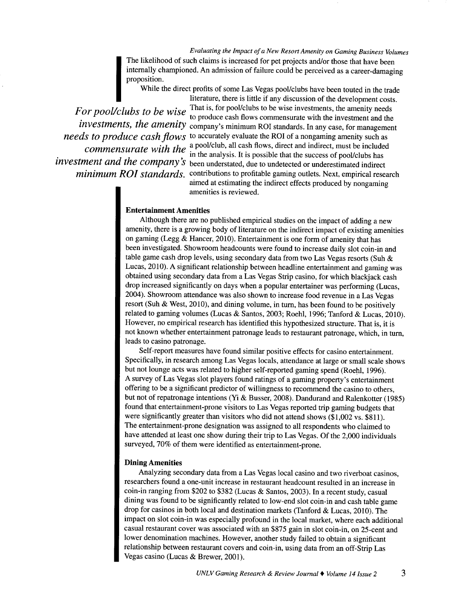*Evaluating the Impact of a New Resort Amenity on Gaming Business Volumes*  Internally championed. An admission of failure could be perceived as a career-damaging<br>proposition.<br>While the direct profits of some Las Vegas pool/clubs have been touted in the trade<br>literature, there is little if any dis The likelihood of such claims is increased for pet projects and/or those that have been proposition.

While the direct profits of some Las Vegas pool/clubs have been touted in the trade literature, there is little if any discussion of the development costs.

For pool/clubs to be wise <sup>That is, for pool/clubs to be wise investments, the amenity needs</sup> or pool clubs to be wise to produce cash flows commensurate with the investment and the *investments, the amenity* company's minimum ROI standards. In any case, for management *needs to produce cash flows* to accurately evaluate the ROI of a nongaming amenity such as *to t the cashed commensurate with the* a pool/club, all cash flows, direct and indirect, must be included in the analysis. It is possible that the success of pool/clubs has *investment and the company's* been understated, due to undetected or underestimated indirect *minimum ROI standards.* contributions to profitable gaming outlets. Next, empirical research aimed at estimating the indirect effects produced by nongaming amenities is reviewed.

## Entertainment Amenities

Although there are no published empirical studies on the impact of adding a new amenity, there is a growing body of literature on the indirect impact of existing amenities on gaming (Legg & Hancer, 2010). Entertainment is one form of amenity that has been investigated. Showroom headcounts were found to increase daily slot coin-in and table game cash drop levels, using secondary data from two Las Vegas resorts (Suh & Lucas, 2010). A significant relationship between headline entertainment and gaming was obtained using secondary data from a Las Vegas Strip casino, for which blackjack cash drop increased significantly on days when a popular entertainer was performing (Lucas, 2004). Showroom attendance was also shown to increase food revenue in a Las Vegas resort (Suh & West, 2010), and dining volume, in tum, has been found to be positively related to gaming volumes (Lucas & Santos, 2003; Roehl, 1996; Tanford & Lucas, 2010). However, no empirical research has identified this hypothesized structure. That is, it is not known whether entertainment patronage leads to restaurant patronage, which, in tum, leads to casino patronage.

Self-report measures have found similar positive effects for casino entertainment. Specifically, in research among Las Vegas locals, attendance at large or small scale shows but not lounge acts was related to higher self-reported gaming spend (Roehl, 1996). A survey of Las Vegas slot players found ratings of a gaming property's entertainment offering to be a significant predictor of willingness to recommend the casino to others, but not of repatronage intentions (Yi & Busser, 2008). Dandurand and Ralenkotter (1985) found that entertainment-prone visitors to Las Vegas reported trip gaming budgets that were significantly greater than visitors who did not attend shows (\$1,002 vs. \$811). The entertainment-prone designation was assigned to all respondents who claimed to have attended at least one show during their trip to Las Vegas. Of the 2,000 individuals surveyed, 70% of them were identified as entertainment-prone.

## Dining Amenities

Analyzing secondary data from a Las Vegas local casino and two riverboat casinos, researchers found a one-unit increase in restaurant headcount resulted in an increase in coin-in ranging from \$202 to \$382 (Lucas & Santos, 2003). In a recent study, casual dining was found to be significantly related to low-end slot coin-in and cash table game drop for casinos in both local and destination markets (Tanford & Lucas, 2010). The impact on slot coin-in was especially profound in the local market, where each additional casual restaurant cover was associated with an \$875 gain in slot coin-in, on 25-cent and lower denomination machines. However, another study failed to obtain a significant relationship between restaurant covers and coin-in, using data from an off-Strip Las Vegas casino (Lucas & Brewer, 2001).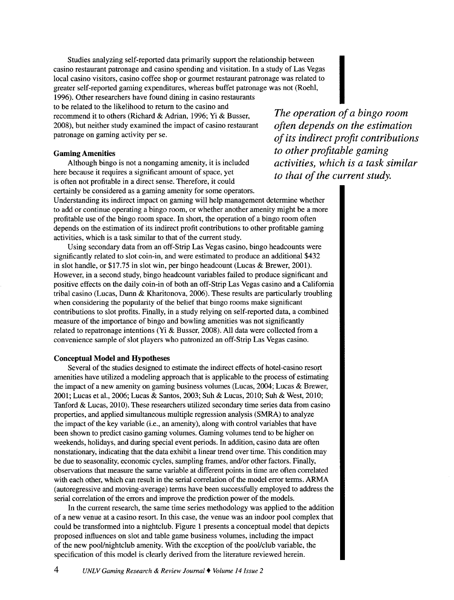Studies analyzing self-reported data primarily support the relationship between casino restaurant patronage and casino spending and visitation. In a study of Las Vegas local casino visitors, casino coffee shop or gourmet restaurant patronage was related to greater self-reported gaming expenditures, whereas buffet patronage was not (Roehl, 1996). Other researchers have found dining in casino restaurants to be related to the likelihood to return to the casino and

recommend it to others (Richard & Adrian, 1996; Yi & Busser, 2008), but neither study examined the impact of casino restaurant patronage on gaming activity per se.

# Gaming Amenities

Although bingo is not a nongaming amenity, it is included here because it requires a significant amount of space, yet is often not profitable in a direct sense. Therefore, it could certainly be considered as a gaming amenity for some operators.

Understanding its indirect impact on gaming will help management determine whether to add or continue operating a bingo room, or whether another amenity might be a more profitable use of the bingo room space. In short, the operation of a bingo room often depends on the estimation of its indirect profit contributions to other profitable gaming activities, which is a task similar to that of the current study.

Using secondary data from an off-Strip Las Vegas casino, bingo headcounts were significantly related to slot coin-in, and were estimated to produce an additional \$432 in slot handle, or \$17.75 in slot win, per bingo headcount (Lucas & Brewer, 2001). However, in a second study, bingo headcount variables failed to produce significant and positive effects on the daily coin-in of both an off-Strip Las Vegas casino and a California tribal casino (Lucas, Dunn & Kharitonova, 2006). These results are particularly troubling when considering the popularity of the belief that bingo rooms make significant contributions to slot profits. Finally, in a study relying on self-reported data, a combined measure of the importance of bingo and bowling amenities was not significantly related to repatronage intentions (Yi & Busser, 2008). All data were collected from a convenience sample of slot players who patronized an off-Strip Las Vegas casino.

#### Conceptual Model and Hypotheses

Several of the studies designed to estimate the indirect effects of hotel-casino resort amenities have utilized a modeling approach that is applicable to the process of estimating the impact of a new amenity on gaming business volumes (Lucas, 2004; Lucas & Brewer, 2001; Lucas et al., 2006; Lucas & Santos, 2003; Suh & Lucas, 2010; Suh & West, 2010; Tanford & Lucas, 2010). These researchers utilized secondary time series data from casino properties, and applied simultaneous multiple regression analysis (SMRA) to analyze the impact of the key variable (i.e., an amenity), along with control variables that have been shown to predict casino gaming volumes. Gaming volumes tend to be higher on weekends, holidays, and during special event periods. In addition, casino data are often nonstationary, indicating that the data exhibit a linear trend over time. This condition may be due to seasonality, economic cycles, sampling frames, and/or other factors. Finally, observations that measure the same variable at different points in time are often correlated with each other, which can result in the serial correlation of the model error terms. ARMA (autoregressive and moving-average) terms have been successfully employed to address the serial correlation of the errors and improve the prediction power of the models.

In the current research, the same time series methodology was applied to the addition of a new venue at a casino resort. In this case, the venue was an indoor pool complex that could be transformed into a nightclub. Figure 1 presents a conceptual model that depicts proposed influences on slot and table game business volumes, including the impact of the new pooVnightclub amenity. With the exception of the pooVclub variable, the specification of this model is clearly derived from the literature reviewed herein.

*The operation of a bingo room often depends on the estimation of its indirect profit contributions to other profitable gaming activities, which is a task similar to that of the current study.*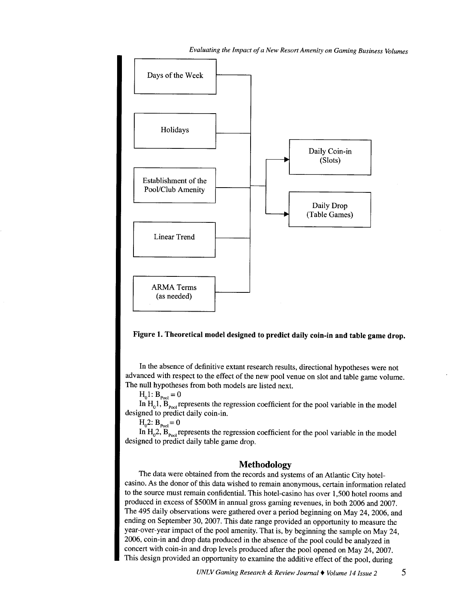*Evaluating the Impact of a New Resort Amenity on Gaming Business Volumes* 





In the absence of definitive extant research results, directional hypotheses were not advanced with respect to the effect of the new pool venue on slot and table game volume. The null hypotheses from both models are listed next.

 $H_01: B_{p_{00}l} = 0$ 

In  $H_0$ 1,  $\overline{B}_{p_{\text{cool}}}$  represents the regression coefficient for the pool variable in the model designed to predict daily coin-in.

$$
H_0 2: B_{\text{Pool}} = 0
$$

In  $H_0^2$ ,  $B_{\text{pool}}$  represents the regression coefficient for the pool variable in the model designed to predict daily table game drop.

## **Methodology**

The data were obtained from the records and systems of an Atlantic City hotelcasino. As the donor of this data wished to remain anonymous, certain information related to the source must remain confidential. This hotel-casino has over 1,500 hotel rooms and produced in excess of \$500M in annual gross gaming revenues, in both 2006 and 2007. The 495 daily observations were gathered over a period beginning on May 24, 2006, and ending on September 30, 2007. This date range provided an opportunity to measure the year-over-year impact of the pool amenity. That is, by beginning the sample on May 24, 2006, coin-in and drop data produced in the absence of the pool could be analyzed in concert with coin-in and drop levels produced after the pool opened on May 24, 2007. This design provided an opportunity to examine the additive effect of the pool, during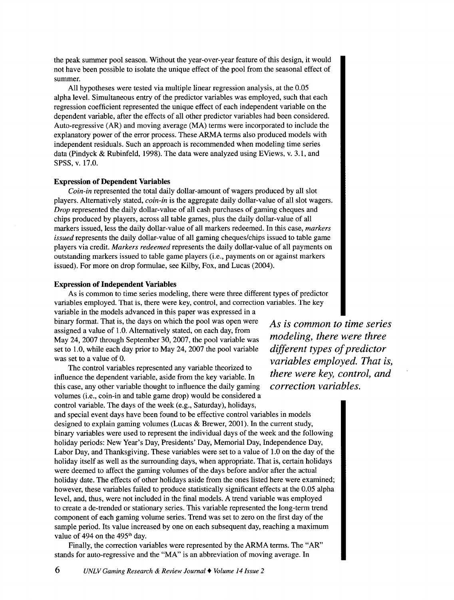the peak summer pool season. Without the year-over-year feature of this design, it would not have been possible to isolate the unique effect of the pool from the seasonal effect of summer.

All hypotheses were tested via multiple linear regression analysis, at the 0.05 alpha level. Simultaneous entry of the predictor variables was employed, such that each regression coefficient represented the unique effect of each independent variable on the dependent variable, after the effects of all other predictor variables had been considered. Auto-regressive (AR) and moving average (MA) terms were incorporated to include the explanatory power of the error process. These ARMA terms also produced models with independent residuals. Such an approach is recommended when modeling time series data (Pindyck & Rubinfeld, 1998). The data were analyzed using EViews, v. 3.1, and SPSS, v. 17.0.

#### Expression of Dependent Variables

*Coin-in* represented the total daily dollar-amount of wagers produced by all slot players. Alternatively stated, *coin-in* is the aggregate daily dollar-value of all slot wagers. *Drop* represented the daily dollar-value of all cash purchases of gaming cheques and chips produced by players, across all table games, plus the daily dollar-value of all markers issued, less the daily dollar-value of all markers redeemed. In this case, *markers issued* represents the daily dollar-value of all gaming cheques/chips issued to table game players via credit. *Markers redeemed* represents the daily dollar-value of all payments on outstanding markers issued to table game players (i.e., payments on or against markers issued). For more on drop formulae, see Kilby, Fox, and Lucas (2004).

### Expression of Independent Variables

As is common to time series modeling, there were three different types of predictor variables employed. That is, there were key, control, and correction variables. The key variable in the models advanced in this paper was expressed in a binary format. That is, the days on which the pool was open were assigned a value of 1.0. Alternatively stated, on each day, from May 24, 2007 through September 30, 2007, the pool variable was set to 1.0, while each day prior to May 24, 2007 the pool variable was set to a value of 0.

The control variables represented any variable theorized to influence the dependent variable, aside from the key variable. In this case, any other variable thought to influence the daily gaming volumes (i.e., coin-in and table game drop) would be considered a control variable. The days of the week (e.g., Saturday), holidays, and special event days have been found to be effective control variables in models designed to explain gaming volumes (Lucas & Brewer, 2001). In the current study, binary variables were used to represent the individual days of the week and the following holiday periods: New Year's Day, Presidents' Day, Memorial Day, Independence Day, Labor Day, and Thanksgiving. These variables were set to a value of 1.0 on the day of the holiday itself as well as the surrounding days, when appropriate. That is, certain holidays were deemed to affect the gaming volumes of the days before and/or after the actual holiday date. The effects of other holidays aside from the ones listed here were examined; however, these variables failed to produce statistically significant effects at the 0.05 alpha level, and, thus, were not included in the final models. A trend variable was employed to create a de-trended or stationary series. This variable represented the long-term trend component of each gaming volume series. Trend was set to zero on the first day of the sample period. Its value increased by one on each subsequent day, reaching a maximum value of 494 on the  $495<sup>th</sup>$  day.

Finally, the correction variables were represented by the ARMA terms. The "AR" stands for auto-regressive and the "MA" is an abbreviation of moving average. In

*As is common to time series modeling, there were three different types of predictor variables employed. That is, there were key, control, and correction variables.*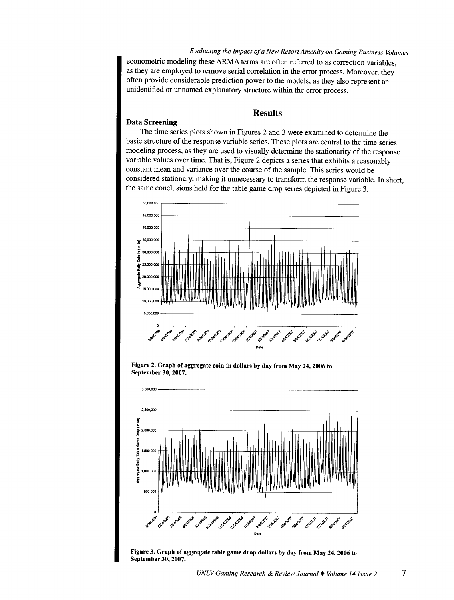*Evaluating the Impact of a New Resort Amenity on Gaming Business Volumes*  econometric modeling these ARMA terms are often referred to as correction variables, as they are employed to remove serial correlation in the error process. Moreover, they often provide considerable prediction power to the models, as they also represent an unidentified or unnamed explanatory structure within the error process.

## Results

#### Data Screening

The time series plots shown in Figures 2 and 3 were examined to determine the basic structure of the response variable series. These plots are central to the time series modeling process, as they are used to visually determine the stationarity of the response variable values over time. That is, Figure 2 depicts a series that exhibits a reasonably constant mean and variance over the course of the sample. This series would be considered stationary, making it unnecessary to transform the response variable. In short, the same conclusions held for the table game drop series depicted in Figure 3.



Figure 2. Graph of aggregate coin-in dollars by day from May 24, 2006 to September 30,2007.



Figure 3. Graph of aggregate table game drop dollars by day from May 24, 2006 to September 30, 2007.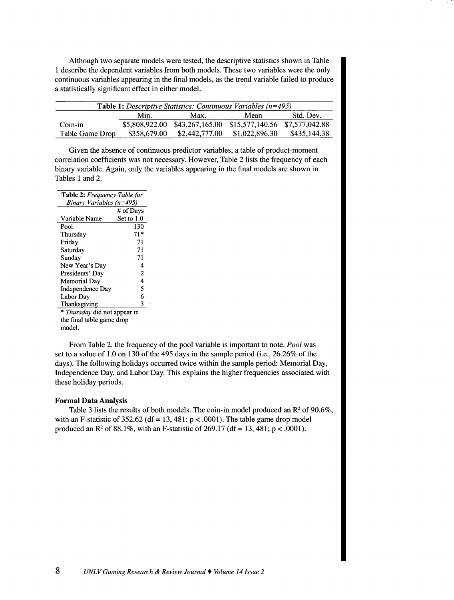Although two separate models were tested, the descriptive statistics shown in Table 1 describe the dependent variables from both models. These two variables were the only continuous variables appearing in the final models, as the trend variable failed to produce a statistically significant effect in either model.

| <b>Table 1:</b> Descriptive Statistics: Continuous Variables $(n=495)$ |              |                                                               |                |              |  |  |  |
|------------------------------------------------------------------------|--------------|---------------------------------------------------------------|----------------|--------------|--|--|--|
|                                                                        | Min.         | Max.                                                          | Mean           | Std. Dev.    |  |  |  |
| Coin-in                                                                |              | \$5,808,922.00 \$43,267,165.00 \$15,577,140.56 \$7,577,042.88 |                |              |  |  |  |
| Table Game Drop                                                        | \$358,679.00 | \$2,442,777.00                                                | \$1,022,896.30 | \$435,144.38 |  |  |  |

Given the absence of continuous predictor variables, a table of product-moment correlation coefficients was not necessary. However, Table 2 lists the frequency of each binary variable. Again, only the variables appearing in the final models are shown in Tables 1 and 2.

| <b>Table 2:</b> Frequency Table for |                |  |  |  |
|-------------------------------------|----------------|--|--|--|
| Binary Variables (n=495)            |                |  |  |  |
|                                     | # of Days      |  |  |  |
| Variable Name                       | Set to 1.0     |  |  |  |
| Pool                                | 130            |  |  |  |
| Thursday                            | 71*            |  |  |  |
| Friday                              | 71             |  |  |  |
| Saturday                            | 71             |  |  |  |
| Sunday                              | 71             |  |  |  |
| New Year's Day                      | 4              |  |  |  |
| Presidents' Day                     | $\overline{2}$ |  |  |  |
| Memorial Day                        | 4              |  |  |  |
| Independence Day                    | 5              |  |  |  |
| Labor Day                           | 6              |  |  |  |
| Thanksgiving                        | 3              |  |  |  |
| * Thursday did not appear in        |                |  |  |  |

the final table game drop model.

From Table 2, the frequency of the pool variable is important to note. *Pool* was set to a value of 1.0 on 130 of the 495 days in the sample period (i.e., 26.26% of the days). The following holidays occurred twice within the sample period: Memorial Day, Independence Day, and Labor Day. This explains the higher frequencies associated with these holiday periods.

#### **Formal Data Analysis**

Table 3 lists the results of both models. The coin-in model produced an  $\mathbb{R}^2$  of 90.6%, with an F-statistic of 352.62 (df = 13, 481;  $p < .0001$ ). The table game drop model produced an  $\mathbb{R}^2$  of 88.1%, with an F-statistic of 269.17 (df = 13, 481; p < .0001).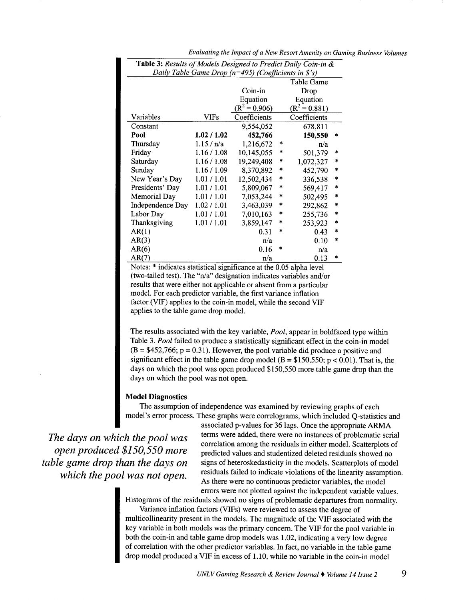| <b>Table 3:</b> Results of Models Designed to Predict Daily Coin-in $\&$ |             |                 |        |                 |        |  |  |
|--------------------------------------------------------------------------|-------------|-----------------|--------|-----------------|--------|--|--|
| Daily Table Game Drop ( $n=495$ ) (Coefficients in \$'s)                 |             |                 |        |                 |        |  |  |
|                                                                          |             |                 |        | Table Game      |        |  |  |
|                                                                          |             | Coin-in         |        | Drop            |        |  |  |
|                                                                          |             | Equation        |        | Equation        |        |  |  |
|                                                                          |             | $(R^2 = 0.906)$ |        | $(R^2 = 0.881)$ |        |  |  |
| Variables                                                                | VIFs        | Coefficients    |        | Coefficients    |        |  |  |
| Constant                                                                 |             | 9,554,052       |        | 678,811         |        |  |  |
| Pool                                                                     | 1.02 / 1.02 | 452,766         |        | 150,550         | *      |  |  |
| Thursday                                                                 | 1.15/n/a    | 1,216,672       | $\ast$ | n/a             |        |  |  |
| Friday                                                                   | 1.16 / 1.08 | 10,145,055      | *      | 501,379         | $\ast$ |  |  |
| Saturday                                                                 | 1.16 / 1.08 | 19,249,408      | *      | 1,072,327       | $\ast$ |  |  |
| Sunday                                                                   | 1.16/1.09   | 8,370,892       | *      | 452,790         | $\ast$ |  |  |
| New Year's Day                                                           | 1.01 / 1.01 | 12,502,434      | *      | 336,538         | $\ast$ |  |  |
| Presidents' Day                                                          | 1.01 / 1.01 | 5,809,067       | *      | 569,417         | $\ast$ |  |  |
| Memorial Day                                                             | 1.01 / 1.01 | 7,053,244       | $\ast$ | 502,495         | $\ast$ |  |  |
| Independence Day                                                         | 1.02 / 1.01 | 3,463,039       | $\ast$ | 292,862         | *      |  |  |
| Labor Day                                                                | 1.01 / 1.01 | 7,010,163       | *      | 255,736         | $\ast$ |  |  |
| Thanksgiving                                                             | 1.01 / 1.01 | 3,859,147       | ∗      | 253,923         | *      |  |  |
| AR(1)                                                                    |             | 0.31            | $\ast$ | 0.43            | $\ast$ |  |  |
| AR(3)                                                                    |             | n/a             |        | 0.10            | $\ast$ |  |  |
| AR(6)                                                                    |             | 0.16            | *      | n/a             |        |  |  |
| AR(7)                                                                    |             | n/a             |        | 0.13            | *      |  |  |

*Evaluating the Impact of a New Resort Amenity on Gaming Business Volumes* 

Notes: \* indicates statistical significance at the 0.05 alpha level (two-tailed test). The "n/a" designation indicates variables and/or results that were either not applicable or absent from a particular model. For each predictor variable, the first variance inflation factor (VIF) applies to the coin-in model, while the second VIF applies to the table game drop model.

The results associated with the key variable, *Pool,* appear in boldfaced type within Table 3. *Pool* failed to produce a statistically significant effect in the coin-in model  $(B = $452,766; p = 0.31)$ . However, the pool variable did produce a positive and significant effect in the table game drop model ( $B = $150,550$ ;  $p < 0.01$ ). That is, the days on which the pool was open produced \$150,550 more table game drop than the days on which the pool was not open.

### Model Diagnostics

The assumption of independence was examined by reviewing graphs of each model's error process. These graphs were correlograms, which included Q-statistics and

*The days on which the pool was open produced \$150,550 more table game drop than the days on which the pool was not open.* 

associated p-values for 36 lags. Once the appropriate ARMA terms were added, there were no instances of problematic serial correlation among the residuals in either model. Scatterplots of predicted values and studentized deleted residuals showed no signs of heteroskedasticity in the models. Scatterplots of model residuals failed to indicate violations of the linearity assumption. As there were no continuous predictor variables, the model errors were not plotted against the independent variable values.

Histograms of the residuals showed no signs of problematic departures from normality. Variance inflation factors (VIFs) were reviewed to assess the degree of

multicollinearity present in the models. The magnitude of the VIF associated with the key variable in both models was the primary concern. The VIF for the pool variable in both the coin-in and table game drop models was 1.02, indicating a very low degree of correlation with the other predictor variables. In fact, no variable in the table game drop model produced a VIF in excess of 1.10, while no variable in the coin-in model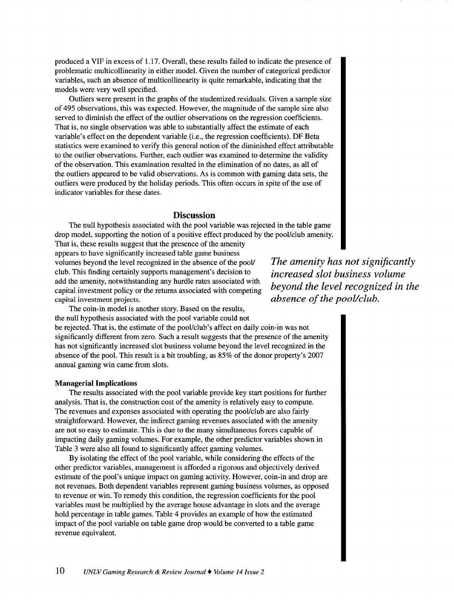produced a VIP in excess of 1.17. Overall, these results failed to indicate the presence of problematic multicollinearity in either model. Given the number of categorical predictor variables, such an absence of multicollinearity is quite remarkable, indicating that the models were very well specified.

Outliers were present in the graphs of the studentized residuals. Given a sample size of 495 observations, this was expected. However, the magnitude of the sample size also served to diminish the effect of the outlier observations on the regression coefficients. That is, no single observation was able to substantially affect the estimate of each variable's effect on the dependent variable (i.e., the regression coefficients). DF Beta statistics were examined to verify this general notion of the diminished effect attributable to the outlier observations. Further, each outlier was examined to determine the validity of the observation. This examination resulted in the elimination of no dates, as all of the outliers appeared to be valid observations. As is common with gaming data sets, the outliers were produced by the holiday periods. This often occurs in spite of the use of indicator variables for these dates.

## **Discussion**

The null hypothesis associated with the pool variable was rejected in the table game drop model, supporting the notion of a positive effect produced by the pool/club amenity. That is, these results suggest that the presence of the amenity

appears to have significantly increased table game business volumes beyond the level recognized in the absence of the pool/ club. This finding certainly supports management's decision to add the amenity, notwithstanding any hurdle rates associated with capital investment policy or the returns associated with competing capital investment projects.

*The amenity has not significantly increased slot business volume beyond the level recognized in the absence of the pool/club.* 

The coin-in model is another story. Based on the results, the null hypothesis associated with the pool variable could not be rejected. That is, the estimate of the pool/club's affect on daily coin-in was not significantly different from zero. Such a result suggests that the presence of the amenity has not significantly increased slot business volume beyond the level recognized in the absence of the pool. This result is a bit troubling, as 85% of the donor property's 2007 annual gaming win came from slots.

#### **Managerial Implications**

The results associated with the pool variable provide key start positions for further analysis. That is, the construction cost of the amenity is relatively easy to compute. The revenues and expenses associated with operating the pool/club are also fairly straightforward. However, the indirect gaming revenues associated with the amenity are not so easy to estimate. This is due to the many simultaneous forces capable of impacting daily gaming volumes. For example, the other predictor variables shown in Table 3 were also all found to significantly affect gaming volumes.

By isolating the effect of the pool variable, while considering the effects of the other predictor variables, management is afforded a rigorous and objectively derived estimate of the pool's unique impact on gaming activity. However, coin-in and drop are not revenues. Both dependent variables represent gaming business volumes, as opposed to revenue or win. To remedy this condition, the regression coefficients for the pool variables must be multiplied by the average house advantage in slots and the average hold percentage in table games. Table 4 provides an example of how the estimated impact of the pool variable on table game drop would be converted to a table game revenue equivalent.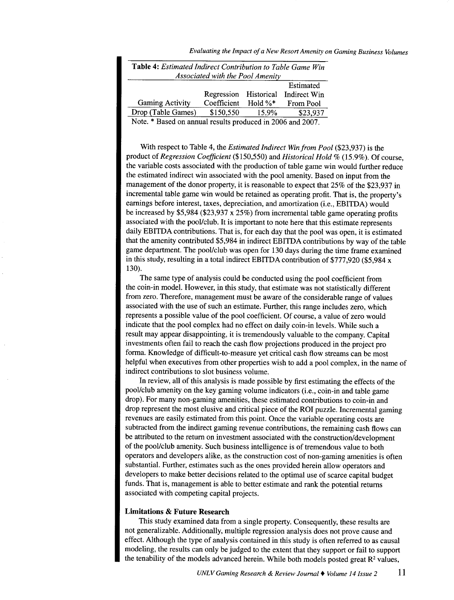*Evaluating the Impact of a New Resort Amenity on Gaming Business Volumes* 

| <b>Table 4:</b> Estimated Indirect Contribution to Table Game Win |                       |             |                     |  |  |  |
|-------------------------------------------------------------------|-----------------------|-------------|---------------------|--|--|--|
| Associated with the Pool Amenity                                  |                       |             |                     |  |  |  |
|                                                                   |                       |             | Estimated           |  |  |  |
|                                                                   | Regression Historical |             | <b>Indirect Win</b> |  |  |  |
| <b>Gaming Activity</b>                                            | Coefficient           | Hold $\%^*$ | From Pool           |  |  |  |
| Drop (Table Games)                                                | \$150,550             | 15.9%       | \$23,937            |  |  |  |
| Note. * Based on annual results produced in 2006 and 2007.        |                       |             |                     |  |  |  |

With respect to Table 4, the *Estimated Indirect Win from Pool* (\$23,937) is the product of *Regression Coefficient* (\$150,550) and *Historical Hold%* (15.9%). Of course, the variable costs associated with the production of table game win would further reduce the estimated indirect win associated with the pool amenity. Based on input from the management of the donor property, it is reasonable to expect that 25% of the \$23,937 in incremental table game win would be retained as operating profit. That is, the property's earnings before interest, taxes, depreciation, and amortization (i.e., EBITDA) would be increased by \$5,984 (\$23,937 x 25%) from incremental table game operating profits associated with the pool/club. It is important to note here that this estimate represents daily EBITDA contributions. That is, for each day that the pool was open, it is estimated that the amenity contributed \$5,984 in indirect EBITDA contributions by way of the table game department. The pool/club was open for 130 days during the time frame examined in this study, resulting in a total indirect EBITDA contribution of \$777,920 (\$5,984 x 130).

The same type of analysis could be conducted using the pool coefficient from the coin-in model. However, in this study, that estimate was not statistically different from zero. Therefore, management must be aware of the considerable range of values associated with the use of such an estimate. Further, this range includes zero, which represents a possible value of the pool coefficient. Of course, a value of zero would indicate that the pool complex had no effect on daily coin-in levels. While such a result may appear disappointing, it is tremendously valuable to the company. Capital investments often fail to reach the cash flow projections produced in the project pro forma. Knowledge of difficult-to-measure yet critical cash flow streams can be most helpful when executives from other properties wish to add a pool complex, in the name of indirect contributions to slot business volume.

In review, all of this analysis is made possible by first estimating the effects of the pool/club amenity on the key gaming volume indicators (i.e., coin-in and table game drop). For many non-gaming amenities, these estimated contributions to coin-in and drop represent the most elusive and critical piece of the ROI puzzle. Incremental gaming revenues are easily estimated from this point. Once the variable operating costs are subtracted from the indirect gaming revenue contributions, the remaining cash flows can be attributed to the return on investment associated with the construction/development of the pool/club amenity. Such business intelligence is of tremendous value to both operators and developers alike, as the construction cost of non-gaming amenities is often substantial. Further, estimates such as the ones provided herein allow operators and developers to make better decisions related to the optimal use of scarce capital budget funds. That is, management is able to better estimate and rank the potential returns associated with competing capital projects.

## **Limitations & Future Research**

This study examined data from a single property. Consequently, these results are not generalizable. Additionally, multiple regression analysis does not prove cause and effect. Although the type of analysis contained in this study is often referred to as causal modeling, the results can only be judged to the extent that they support or fail to support the tenability of the models advanced herein. While both models posted great  $R<sup>2</sup>$  values,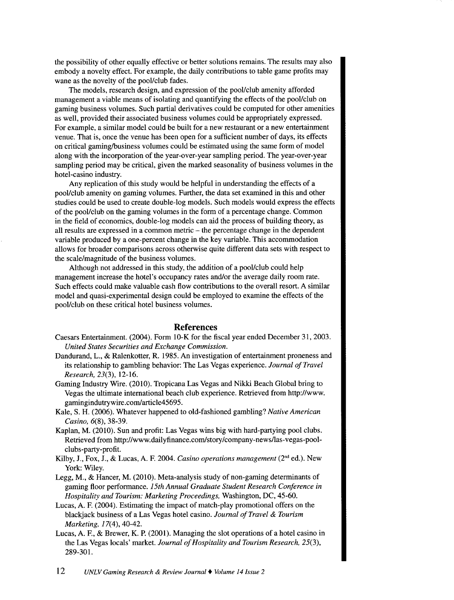the possibility of other equally effective or better solutions remains. The results may also embody a novelty effect. For example, the daily contributions to table game profits may wane as the novelty of the pool/club fades.

The models, research design, and expression of the pool/club amenity afforded management a viable means of isolating and quantifying the effects of the pool/club on gaming business volumes. Such partial derivatives could be computed for other amenities as well, provided their associated business volumes could be appropriately expressed. For example, a similar model could be built for a new restaurant or a new entertainment venue. That is, once the venue has been open for a sufficient number of days, its effects on critical gaming/business volumes could be estimated using the same form of model along with the incorporation of the year-over-year sampling period. The year-over-year sampling period may be critical, given the marked seasonality of business volumes in the hotel-casino industry.

Any replication of this study would be helpful in understanding the effects of <sup>a</sup> pool/club amenity on gaming volumes. Further, the data set examined in this and other studies could be used to create double-log models. Such models would express the effects of the pool/club on the gaming volumes in the form of a percentage change. Common in the field of economics, double-log models can aid the process of building theory, as all results are expressed in a common metric  $-$  the percentage change in the dependent variable produced by a one-percent change in the key variable. This accommodation allows for broader comparisons across otherwise quite different data sets with respect to the scale/magnitude of the business volumes.

Although not addressed in this study, the addition of a pool/club could help management increase the hotel's occupancy rates and/or the average daily room rate. Such effects could make valuable cash flow contributions to the overall resort. A similar model and quasi-experimental design could be employed to examine the effects of the pool/club on these critical hotel business volumes.

# **References**

- Caesars Entertainment. (2004). Form 10-K for the fiscal year ended December 31, 2003. *United States Securities and Exchange Commission.*
- Dandurand, L., & Ralenkotter, R. 1985. An investigation of entertainment proneness and its relationship to gambling behavior: The Las Vegas experience. *Journal of Travel Research,* 23(3), 12-16.
- Gaming Industry Wire. (2010). Tropicana Las Vegas and Nikki Beach Global bring to Vegas the ultimate international beach club experience. Retrieved from http://www. gamingindutrywire.com/article45695.
- Kale, S. H. (2006). Whatever happened to old-fashioned gambling? *Native American Casino,* 6(8), 38-39.
- Kaplan, M. (2010). Sun and profit: Las Vegas wins big with hard-partying pool clubs. Retrieved from http://www.dailyfinance.com/story/company-newsllas-vegas-poolclubs-party-profit.
- Kilby, J., Fox, J., & Lucas, A. F. 2004. *Casino operations management* (2"d ed.). New York: Wiley.
- Legg, M., & Hancer, M. (2010). Meta-analysis study of non-gaming determinants of gaming floor performance. *15th Annual Graduate Student Research Conference in Hospitality and Tourism: Marketing Proceedings,* Washington, DC, 45-60.
- Lucas, A. F. (2004). Estimating the impact of match-play promotional offers on the blackjack business of a Las Vegas hotel casino. *Journal of Travel* & *Tourism Marketing,* 17(4), 40-42.
- Lucas, A. F., & Brewer, K. P. (2001). Managing the slot operations of a hotel casino in the Las Vegas locals' market. *Journal of Hospitality and Tourism Research,* 25(3), 289-301.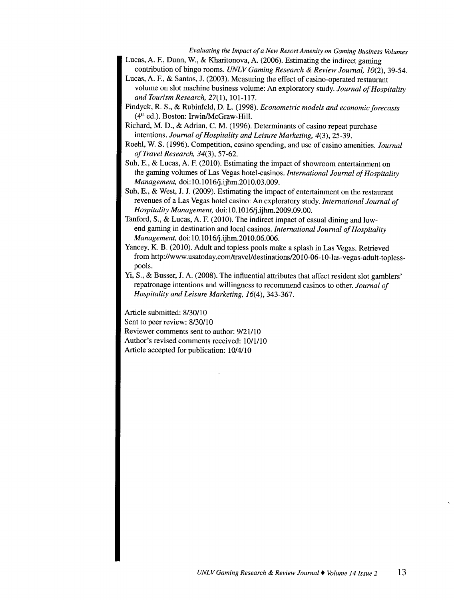*Evaluating the Impact of a New Resort Amenity on Gaming Business Volumes* 

Lucas, A. F., Dunn, W., & Kharitonova, A. (2006). Estimating the indirect gaming contribution of bingo rooms. *UNLV Gaming Research* & *Review Journal, 10(2),* 39-54.

- Lucas, A. F., & Santos, J. (2003). Measuring the effect of casino-operated restaurant volume on slot machine business volume: An exploratory study. *Journal of Hospitality and Tourism Research,* 27(1), 101-117.
- Pindyck, R. S., & Rubinfeld, D. L. (1998). *Econometric models and economic forecasts*  (4th ed.). Boston: Irwin/McGraw-Hill.
- Richard, M.D., & Adrian, C. M. (1996). Determinants of casino repeat purchase intentions. *Journal of Hospitality and Leisure Marketing,* 4(3), 25-39.
- Roehl, W. S. (1996). Competition, casino spending, and use of casino amenities. *Journal of Travel Research, 34(3),* 57-62.
- Suh, E., & Lucas, A. F. (2010). Estimating the impact of showroom entertainment on the gaming volumes of Las Vegas hotel-casinos. *International Journal of Hospitality Management,* doi:10.1016/j.ijhm.2010.03.009.
- Suh, E., & West, J. J. (2009). Estimating the impact of entertainment on the restaurant revenues of a Las Vegas hotel casino: An exploratory study. *International Journal of Hospitality Management,* doi: 10.10 16/j .ijhm.2009 .09 .00.
- Tanford, S., & Lucas, A. F. (2010). The indirect impact of casual dining and lowend gaming in destination and local casinos. *International Journal of Hospitality Management,* doi:10.1016/j.ijhm.2010.06.006.
- Yancey, K. B. (2010). Adult and topless pools make a splash in Las Vegas. Retrieved from http://www.usatoday.com/travel/destinations/2010-06-10-las-vegas-adult-toplesspools.
- Yi, S., & Busser, J. A. (2008). The influential attributes that affect resident slot gamblers' repatronage intentions and willingness to recommend casinos to other. *Journal of Hospitality and Leisure Marketing,* 16(4), 343-367.

Article submitted: 8/30/10 Sent to peer review: 8/30/10 Reviewer comments sent to author: 9/21/10 Author's revised comments received: 10/1/10 Article accepted for publication: 10/4110